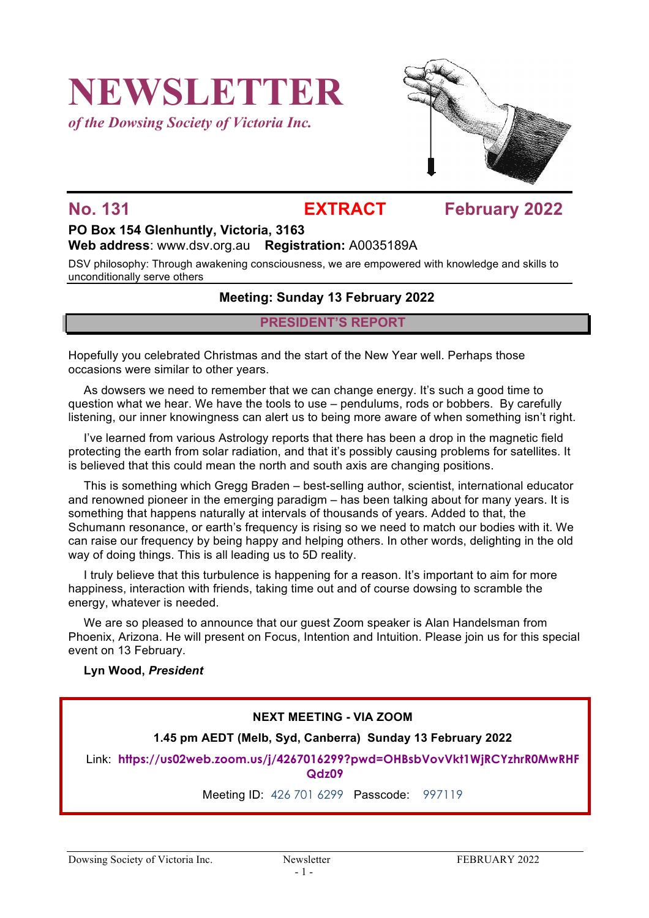# **NEWSLETTER**

*of the Dowsing Society of Victoria Inc.*



## **No. 131 EXTRACT February 2022**

# **PO Box 154 Glenhuntly, Victoria, 3163**

**Web address**: www.dsv.org.au **Registration:** A0035189A

DSV philosophy: Through awakening consciousness, we are empowered with knowledge and skills to unconditionally serve others

### **Meeting: Sunday 13 February 2022**

#### **PRESIDENT'S REPORT**

Hopefully you celebrated Christmas and the start of the New Year well. Perhaps those occasions were similar to other years.

As dowsers we need to remember that we can change energy. It's such a good time to question what we hear. We have the tools to use – pendulums, rods or bobbers. By carefully listening, our inner knowingness can alert us to being more aware of when something isn't right.

I've learned from various Astrology reports that there has been a drop in the magnetic field protecting the earth from solar radiation, and that it's possibly causing problems for satellites. It is believed that this could mean the north and south axis are changing positions.

This is something which Gregg Braden – best-selling author, scientist, international educator and renowned pioneer in the emerging paradigm – has been talking about for many years. It is something that happens naturally at intervals of thousands of years. Added to that, the Schumann resonance, or earth's frequency is rising so we need to match our bodies with it. We can raise our frequency by being happy and helping others. In other words, delighting in the old way of doing things. This is all leading us to 5D reality.

I truly believe that this turbulence is happening for a reason. It's important to aim for more happiness, interaction with friends, taking time out and of course dowsing to scramble the energy, whatever is needed.

We are so pleased to announce that our guest Zoom speaker is Alan Handelsman from Phoenix, Arizona. He will present on Focus, Intention and Intuition. Please join us for this special event on 13 February.

#### **Lyn Wood,** *President*

### **NEXT MEETING - VIA ZOOM**

#### **1.45 pm AEDT (Melb, Syd, Canberra) Sunday 13 February 2022**

Link: **https://us02web.zoom.us/j/4267016299?pwd=OHBsbVovVkt1WjRCYzhrR0MwRHF Qdz09**

Meeting ID: 426 701 6299 Passcode: 997119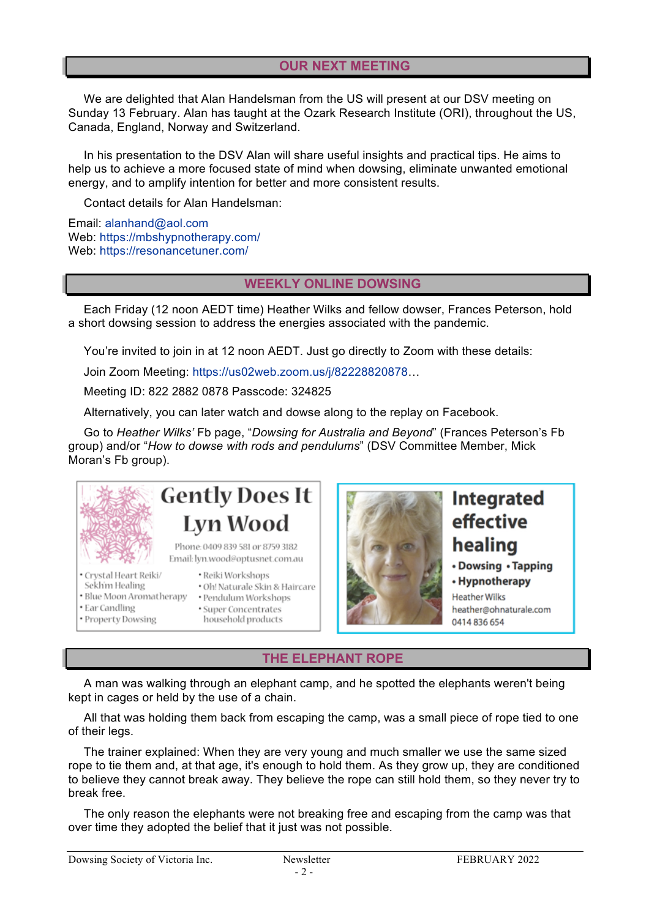#### **OUR NEXT MEETING**

We are delighted that Alan Handelsman from the US will present at our DSV meeting on Sunday 13 February. Alan has taught at the Ozark Research Institute (ORI), throughout the US, Canada, England, Norway and Switzerland.

In his presentation to the DSV Alan will share useful insights and practical tips. He aims to help us to achieve a more focused state of mind when dowsing, eliminate unwanted emotional energy, and to amplify intention for better and more consistent results.

Contact details for Alan Handelsman:

Email: alanhand@aol.com Web: https://mbshypnotherapy.com/ Web: https://resonancetuner.com/

#### **WEEKLY ONLINE DOWSING**

Each Friday (12 noon AEDT time) Heather Wilks and fellow dowser, Frances Peterson, hold a short dowsing session to address the energies associated with the pandemic.

You're invited to join in at 12 noon AEDT. Just go directly to Zoom with these details:

Join Zoom Meeting: https://us02web.zoom.us/j/82228820878…

Meeting ID: 822 2882 0878 Passcode: 324825

Alternatively, you can later watch and dowse along to the replay on Facebook.

Go to *Heather Wilks'* Fb page, "*Dowsing for Australia and Beyond*" (Frances Peterson's Fb group) and/or "*How to dowse with rods and pendulums*" (DSV Committee Member, Mick Moran's Fb group).



Sekhim Healing

· Property Dowsing

· Ear Candling

# **Gently Does It** Lyn Wood

Phone: 0409 839 581 or 8759 3182 Email: lyn.wood@optusnet.com.au

- · Crystal Heart Reiki/ · Reiki Workshops
	- · Oh! Naturale Skin & Haircare
- · Blue Moon Aromatherapy · Pendulum Workshops
	- · Super Concentrates
		- household products



# Integrated effective healing

#### • Dowsing • Tapping

• Hypnotherapy **Heather Wilks** heather@ohnaturale.com 0414 836 654

**THE ELEPHANT ROPE**

A man was walking through an elephant camp, and he spotted the elephants weren't being kept in cages or held by the use of a chain.

All that was holding them back from escaping the camp, was a small piece of rope tied to one of their legs.

The trainer explained: When they are very young and much smaller we use the same sized rope to tie them and, at that age, it's enough to hold them. As they grow up, they are conditioned to believe they cannot break away. They believe the rope can still hold them, so they never try to break free.

The only reason the elephants were not breaking free and escaping from the camp was that over time they adopted the belief that it just was not possible.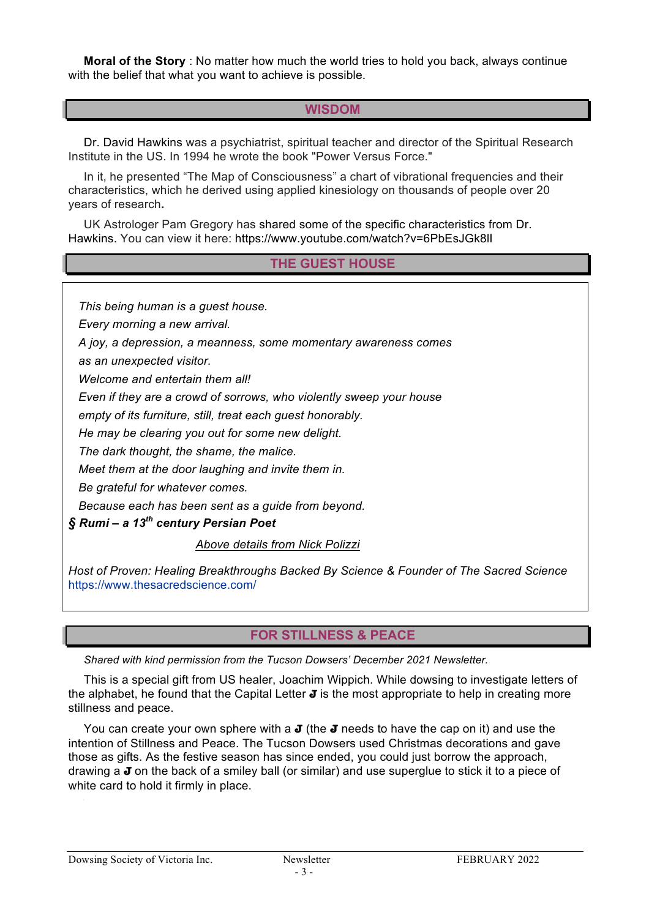**Moral of the Story** : No matter how much the world tries to hold you back, always continue with the belief that what you want to achieve is possible.

### **WISDOM**

Dr. David Hawkins was a psychiatrist, spiritual teacher and director of the Spiritual Research Institute in the US. In 1994 he wrote the book "Power Versus Force."

In it, he presented "The Map of Consciousness" a chart of vibrational frequencies and their characteristics, which he derived using applied kinesiology on thousands of people over 20 years of research**.**

UK Astrologer Pam Gregory has shared some of the specific characteristics from Dr. Hawkins. You can view it here: https://www.youtube.com/watch?v=6PbEsJGk8lI

### **THE GUEST HOUSE**

 *This being human is a guest house.*

 *Every morning a new arrival.*

 *A joy, a depression, a meanness, some momentary awareness comes*

 *as an unexpected visitor.*

 *Welcome and entertain them all!*

 *Even if they are a crowd of sorrows, who violently sweep your house*

 *empty of its furniture, still, treat each guest honorably.*

 *He may be clearing you out for some new delight.*

 *The dark thought, the shame, the malice.*

 *Meet them at the door laughing and invite them in.*

 *Be grateful for whatever comes.*

 *Because each has been sent as a guide from beyond.*

*§ Rumi – a 13th century Persian Poet*

#### *Above details from Nick Polizzi*

*Host of Proven: Healing Breakthroughs Backed By Science & Founder of The Sacred Science*  https://www.thesacredscience.com/

### **FOR STILLNESS & PEACE**

*Shared with kind permission from the Tucson Dowsers' December 2021 Newsletter.* 

This is a special gift from US healer, Joachim Wippich. While dowsing to investigate letters of the alphabet, he found that the Capital Letter **J** is the most appropriate to help in creating more stillness and peace.

You can create your own sphere with a **J** (the **J** needs to have the cap on it) and use the intention of Stillness and Peace. The Tucson Dowsers used Christmas decorations and gave those as gifts. As the festive season has since ended, you could just borrow the approach, drawing a **J** on the back of a smiley ball (or similar) and use superglue to stick it to a piece of white card to hold it firmly in place.